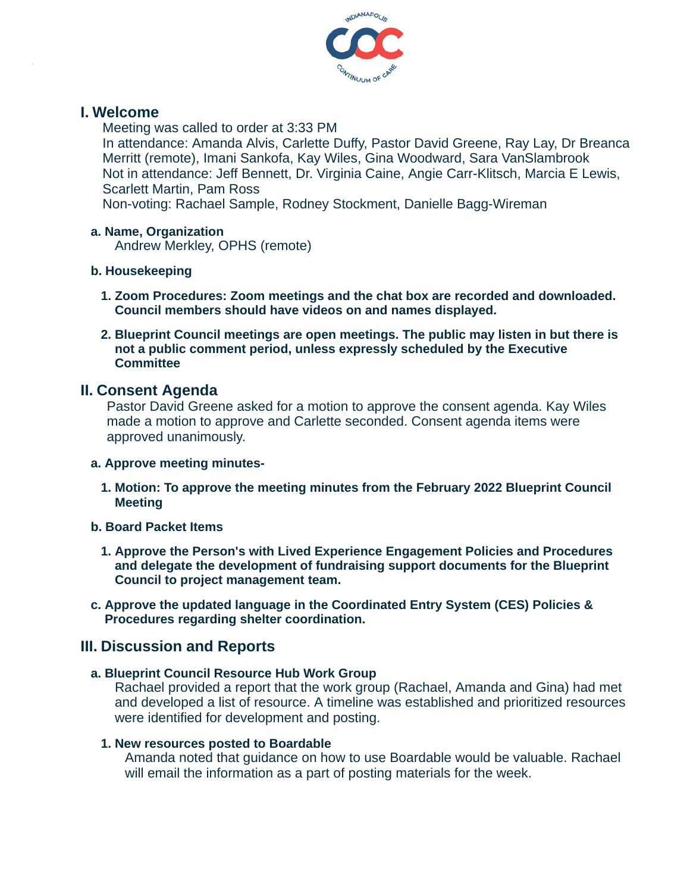

## **I. Welcome**

Meeting was called to order at 3:33 PM

In attendance: Amanda Alvis, Carlette Duffy, Pastor David Greene, Ray Lay, Dr Breanca Merritt (remote), Imani Sankofa, Kay Wiles, Gina Woodward, Sara VanSlambrook Not in attendance: Jeff Bennett, Dr. Virginia Caine, Angie Carr-Klitsch, Marcia E Lewis, Scarlett Martin, Pam Ross

Non-voting: Rachael Sample, Rodney Stockment, Danielle Bagg-Wireman

#### **a. Name, Organization**

Andrew Merkley, OPHS (remote)

#### **b. Housekeeping**

- **1. Zoom Procedures: Zoom meetings and the chat box are recorded and downloaded. Council members should have videos on and names displayed.**
- **2. Blueprint Council meetings are open meetings. The public may listen in but there is not a public comment period, unless expressly scheduled by the Executive Committee**

### **II. Consent Agenda**

Pastor David Greene asked for a motion to approve the consent agenda. Kay Wiles made a motion to approve and Carlette seconded. Consent agenda items were approved unanimously.

#### **a. Approve meeting minutes-**

- **1. Motion: To approve the meeting minutes from the February 2022 Blueprint Council Meeting**
- **b. Board Packet Items**
	- **1. Approve the Person's with Lived Experience Engagement Policies and Procedures and delegate the development of fundraising support documents for the Blueprint Council to project management team.**
- **c. Approve the updated language in the Coordinated Entry System (CES) Policies & Procedures regarding shelter coordination.**

## **III. Discussion and Reports**

## **a. Blueprint Council Resource Hub Work Group**

Rachael provided a report that the work group (Rachael, Amanda and Gina) had met and developed a list of resource. A timeline was established and prioritized resources were identified for development and posting.

#### **1. New resources posted to Boardable**

Amanda noted that guidance on how to use Boardable would be valuable. Rachael will email the information as a part of posting materials for the week.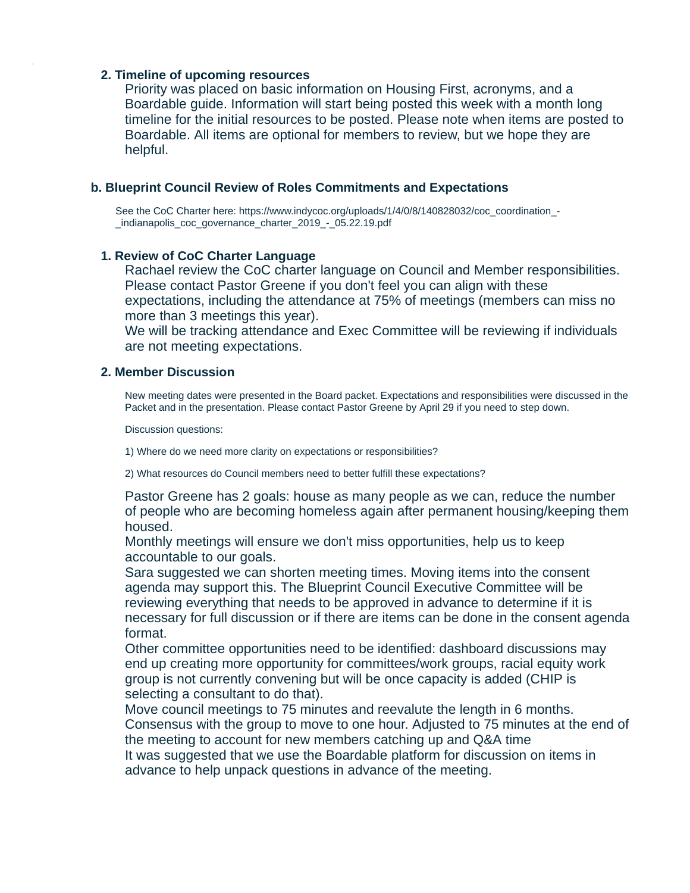#### **2. Timeline of upcoming resources**

Priority was placed on basic information on Housing First, acronyms, and a Boardable guide. Information will start being posted this week with a month long timeline for the initial resources to be posted. Please note when items are posted to Boardable. All items are optional for members to review, but we hope they are helpful.

#### **b. Blueprint Council Review of Roles Commitments and Expectations**

See the CoC Charter here: https://www.indycoc.org/uploads/1/4/0/8/140828032/coc\_coordination -\_indianapolis\_coc\_governance\_charter\_2019\_-\_05.22.19.pdf

#### **1. Review of CoC Charter Language**

Rachael review the CoC charter language on Council and Member responsibilities. Please contact Pastor Greene if you don't feel you can align with these expectations, including the attendance at 75% of meetings (members can miss no more than 3 meetings this year).

We will be tracking attendance and Exec Committee will be reviewing if individuals are not meeting expectations.

#### **2. Member Discussion**

New meeting dates were presented in the Board packet. Expectations and responsibilities were discussed in the Packet and in the presentation. Please contact Pastor Greene by April 29 if you need to step down.

Discussion questions:

1) Where do we need more clarity on expectations or responsibilities?

2) What resources do Council members need to better fulfill these expectations?

Pastor Greene has 2 goals: house as many people as we can, reduce the number of people who are becoming homeless again after permanent housing/keeping them housed.

Monthly meetings will ensure we don't miss opportunities, help us to keep accountable to our goals.

Sara suggested we can shorten meeting times. Moving items into the consent agenda may support this. The Blueprint Council Executive Committee will be reviewing everything that needs to be approved in advance to determine if it is necessary for full discussion or if there are items can be done in the consent agenda format.

Other committee opportunities need to be identified: dashboard discussions may end up creating more opportunity for committees/work groups, racial equity work group is not currently convening but will be once capacity is added (CHIP is selecting a consultant to do that).

Move council meetings to 75 minutes and reevalute the length in 6 months. Consensus with the group to move to one hour. Adjusted to 75 minutes at the end of the meeting to account for new members catching up and Q&A time

It was suggested that we use the Boardable platform for discussion on items in advance to help unpack questions in advance of the meeting.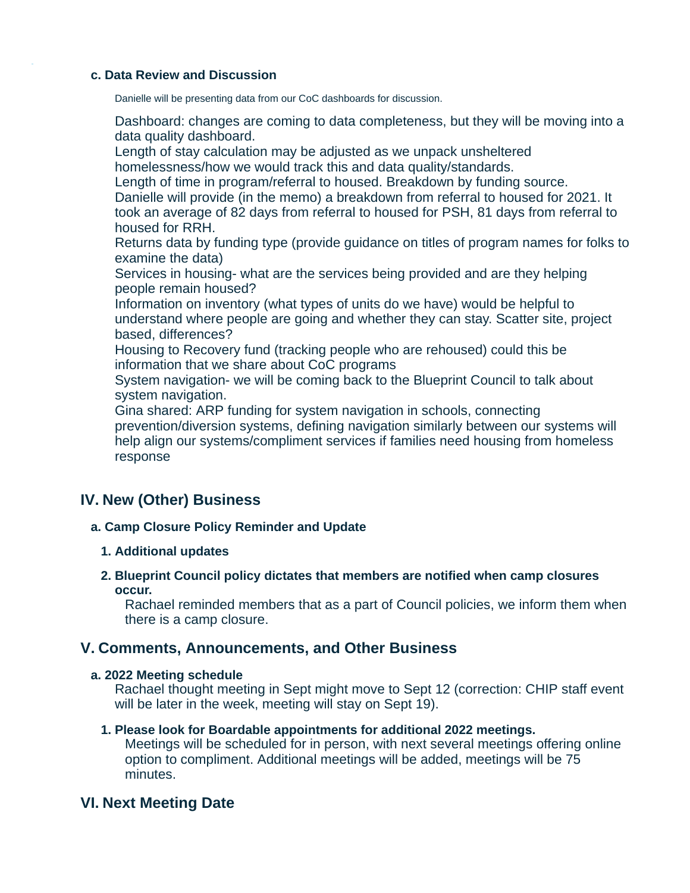#### **c. Data Review and Discussion**

Danielle will be presenting data from our CoC dashboards for discussion.

Dashboard: changes are coming to data completeness, but they will be moving into a data quality dashboard.

Length of stay calculation may be adjusted as we unpack unsheltered homelessness/how we would track this and data quality/standards.

Length of time in program/referral to housed. Breakdown by funding source. Danielle will provide (in the memo) a breakdown from referral to housed for 2021. It took an average of 82 days from referral to housed for PSH, 81 days from referral to housed for RRH.

Returns data by funding type (provide guidance on titles of program names for folks to examine the data)

Services in housing- what are the services being provided and are they helping people remain housed?

Information on inventory (what types of units do we have) would be helpful to understand where people are going and whether they can stay. Scatter site, project based, differences?

Housing to Recovery fund (tracking people who are rehoused) could this be information that we share about CoC programs

System navigation- we will be coming back to the Blueprint Council to talk about system navigation.

Gina shared: ARP funding for system navigation in schools, connecting prevention/diversion systems, defining navigation similarly between our systems will help align our systems/compliment services if families need housing from homeless response

# **IV. New (Other) Business**

### **a. Camp Closure Policy Reminder and Update**

### **1. Additional updates**

**2. Blueprint Council policy dictates that members are notified when camp closures occur.**

Rachael reminded members that as a part of Council policies, we inform them when there is a camp closure.

## **V. Comments, Announcements, and Other Business**

### **a. 2022 Meeting schedule**

Rachael thought meeting in Sept might move to Sept 12 (correction: CHIP staff event will be later in the week, meeting will stay on Sept 19).

### **1. Please look for Boardable appointments for additional 2022 meetings.**

Meetings will be scheduled for in person, with next several meetings offering online option to compliment. Additional meetings will be added, meetings will be 75 minutes.

## **VI. Next Meeting Date**